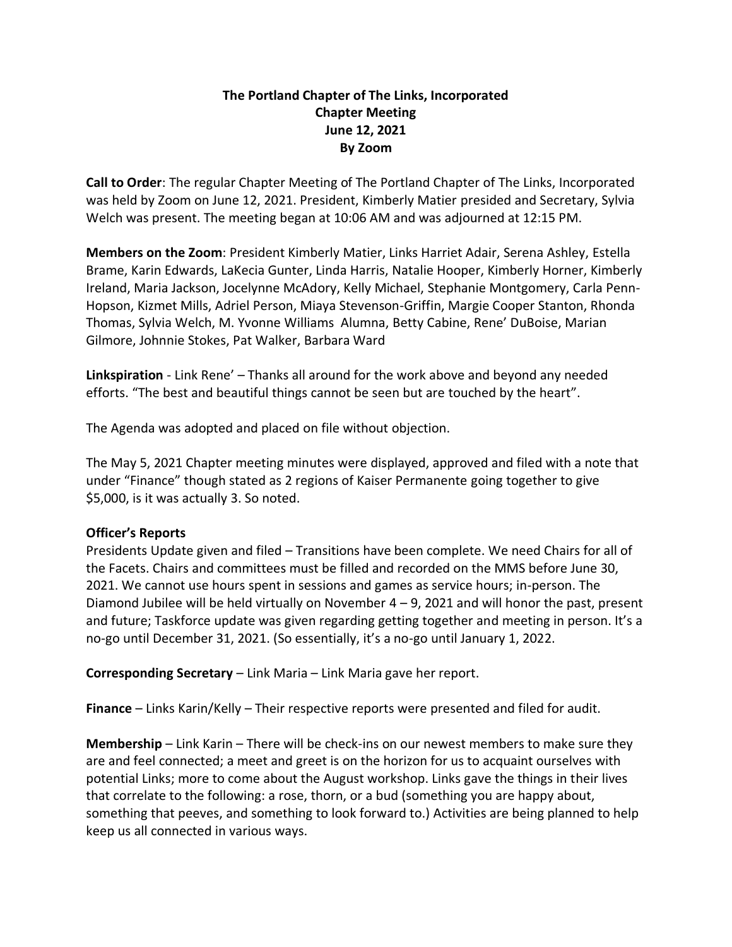## **The Portland Chapter of The Links, Incorporated Chapter Meeting June 12, 2021 By Zoom**

**Call to Order**: The regular Chapter Meeting of The Portland Chapter of The Links, Incorporated was held by Zoom on June 12, 2021. President, Kimberly Matier presided and Secretary, Sylvia Welch was present. The meeting began at 10:06 AM and was adjourned at 12:15 PM.

**Members on the Zoom**: President Kimberly Matier, Links Harriet Adair, Serena Ashley, Estella Brame, Karin Edwards, LaKecia Gunter, Linda Harris, Natalie Hooper, Kimberly Horner, Kimberly Ireland, Maria Jackson, Jocelynne McAdory, Kelly Michael, Stephanie Montgomery, Carla Penn-Hopson, Kizmet Mills, Adriel Person, Miaya Stevenson-Griffin, Margie Cooper Stanton, Rhonda Thomas, Sylvia Welch, M. Yvonne Williams Alumna, Betty Cabine, Rene' DuBoise, Marian Gilmore, Johnnie Stokes, Pat Walker, Barbara Ward

**Linkspiration** - Link Rene' – Thanks all around for the work above and beyond any needed efforts. "The best and beautiful things cannot be seen but are touched by the heart".

The Agenda was adopted and placed on file without objection.

The May 5, 2021 Chapter meeting minutes were displayed, approved and filed with a note that under "Finance" though stated as 2 regions of Kaiser Permanente going together to give \$5,000, is it was actually 3. So noted.

## **Officer's Reports**

Presidents Update given and filed – Transitions have been complete. We need Chairs for all of the Facets. Chairs and committees must be filled and recorded on the MMS before June 30, 2021. We cannot use hours spent in sessions and games as service hours; in-person. The Diamond Jubilee will be held virtually on November  $4 - 9$ , 2021 and will honor the past, present and future; Taskforce update was given regarding getting together and meeting in person. It's a no-go until December 31, 2021. (So essentially, it's a no-go until January 1, 2022.

**Corresponding Secretary** – Link Maria – Link Maria gave her report.

**Finance** – Links Karin/Kelly – Their respective reports were presented and filed for audit.

**Membership** – Link Karin – There will be check-ins on our newest members to make sure they are and feel connected; a meet and greet is on the horizon for us to acquaint ourselves with potential Links; more to come about the August workshop. Links gave the things in their lives that correlate to the following: a rose, thorn, or a bud (something you are happy about, something that peeves, and something to look forward to.) Activities are being planned to help keep us all connected in various ways.